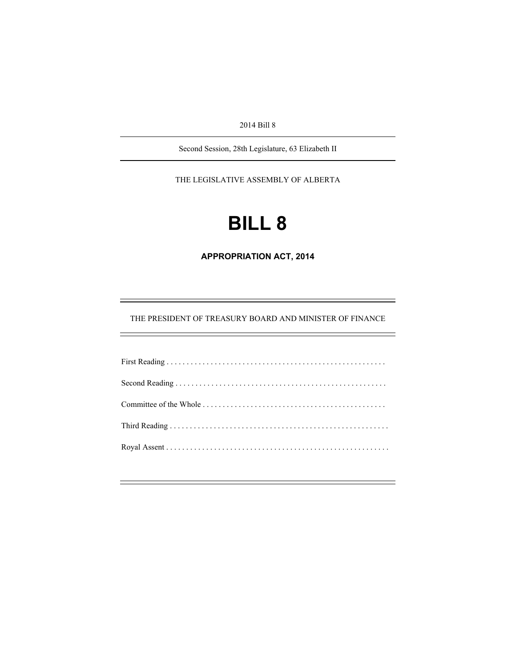2014 Bill 8

Second Session, 28th Legislature, 63 Elizabeth II

THE LEGISLATIVE ASSEMBLY OF ALBERTA

# **BILL 8**

**APPROPRIATION ACT, 2014** 

THE PRESIDENT OF TREASURY BOARD AND MINISTER OF FINANCE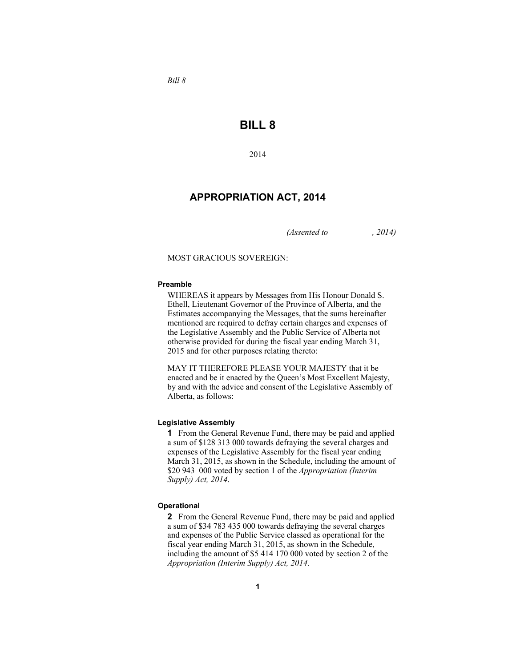*Bill 8* 

# **BILL 8**

2014

## **APPROPRIATION ACT, 2014**

*(Assented to , 2014)* 

MOST GRACIOUS SOVEREIGN:

#### **Preamble**

WHEREAS it appears by Messages from His Honour Donald S. Ethell, Lieutenant Governor of the Province of Alberta, and the Estimates accompanying the Messages, that the sums hereinafter mentioned are required to defray certain charges and expenses of the Legislative Assembly and the Public Service of Alberta not otherwise provided for during the fiscal year ending March 31, 2015 and for other purposes relating thereto:

MAY IT THEREFORE PLEASE YOUR MAJESTY that it be enacted and be it enacted by the Queen's Most Excellent Majesty, by and with the advice and consent of the Legislative Assembly of Alberta, as follows:

#### **Legislative Assembly**

**1** From the General Revenue Fund, there may be paid and applied a sum of \$128 313 000 towards defraying the several charges and expenses of the Legislative Assembly for the fiscal year ending March 31, 2015, as shown in the Schedule, including the amount of \$20 943 000 voted by section 1 of the *Appropriation (Interim Supply) Act, 2014*.

#### **Operational**

**2** From the General Revenue Fund, there may be paid and applied a sum of \$34 783 435 000 towards defraying the several charges and expenses of the Public Service classed as operational for the fiscal year ending March 31, 2015, as shown in the Schedule, including the amount of \$5 414 170 000 voted by section 2 of the *Appropriation (Interim Supply) Act, 2014*.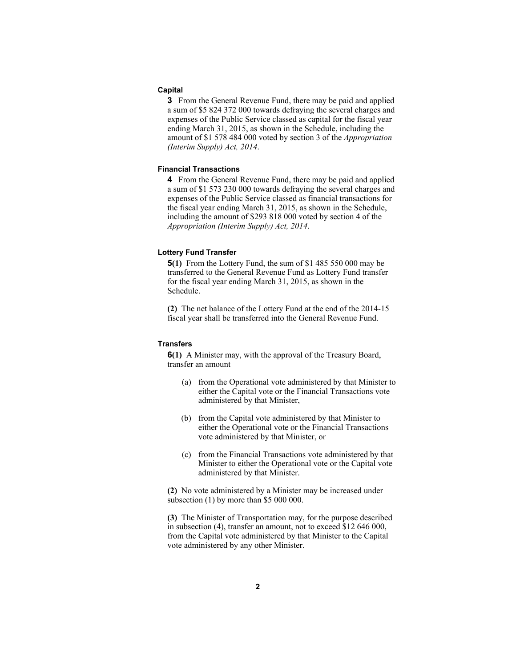#### **Capital**

**3** From the General Revenue Fund, there may be paid and applied a sum of \$5 824 372 000 towards defraying the several charges and expenses of the Public Service classed as capital for the fiscal year ending March 31, 2015, as shown in the Schedule, including the amount of \$1 578 484 000 voted by section 3 of the *Appropriation (Interim Supply) Act, 2014*.

#### **Financial Transactions**

**4** From the General Revenue Fund, there may be paid and applied a sum of \$1 573 230 000 towards defraying the several charges and expenses of the Public Service classed as financial transactions for the fiscal year ending March 31, 2015, as shown in the Schedule, including the amount of \$293 818 000 voted by section 4 of the *Appropriation (Interim Supply) Act, 2014*.

#### **Lottery Fund Transfer**

**5(1)** From the Lottery Fund, the sum of \$1 485 550 000 may be transferred to the General Revenue Fund as Lottery Fund transfer for the fiscal year ending March 31, 2015, as shown in the Schedule.

**(2)** The net balance of the Lottery Fund at the end of the 2014-15 fiscal year shall be transferred into the General Revenue Fund.

#### **Transfers**

**6(1)** A Minister may, with the approval of the Treasury Board, transfer an amount

- (a) from the Operational vote administered by that Minister to either the Capital vote or the Financial Transactions vote administered by that Minister,
- (b) from the Capital vote administered by that Minister to either the Operational vote or the Financial Transactions vote administered by that Minister, or
- (c) from the Financial Transactions vote administered by that Minister to either the Operational vote or the Capital vote administered by that Minister.

**(2)** No vote administered by a Minister may be increased under subsection (1) by more than \$5 000 000.

**(3)** The Minister of Transportation may, for the purpose described in subsection (4), transfer an amount, not to exceed \$12 646 000, from the Capital vote administered by that Minister to the Capital vote administered by any other Minister.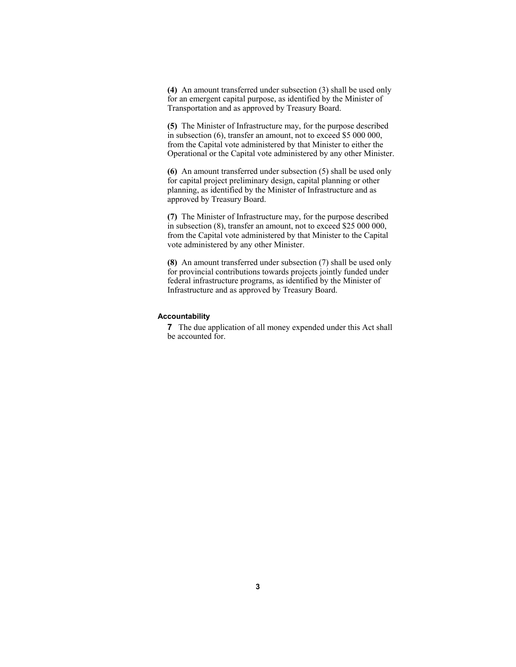**(4)** An amount transferred under subsection (3) shall be used only for an emergent capital purpose, as identified by the Minister of Transportation and as approved by Treasury Board.

**(5)** The Minister of Infrastructure may, for the purpose described in subsection (6), transfer an amount, not to exceed \$5 000 000, from the Capital vote administered by that Minister to either the Operational or the Capital vote administered by any other Minister.

**(6)** An amount transferred under subsection (5) shall be used only for capital project preliminary design, capital planning or other planning, as identified by the Minister of Infrastructure and as approved by Treasury Board.

**(7)** The Minister of Infrastructure may, for the purpose described in subsection (8), transfer an amount, not to exceed \$25 000 000, from the Capital vote administered by that Minister to the Capital vote administered by any other Minister.

**(8)** An amount transferred under subsection (7) shall be used only for provincial contributions towards projects jointly funded under federal infrastructure programs, as identified by the Minister of Infrastructure and as approved by Treasury Board.

#### **Accountability**

**7** The due application of all money expended under this Act shall be accounted for.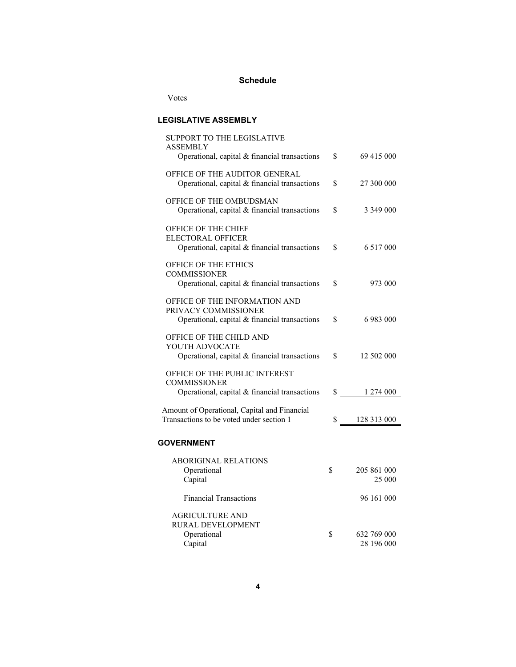# **Schedule**

Votes

### **LEGISLATIVE ASSEMBLY**

| SUPPORT TO THE LEGISLATIVE<br>ASSEMBLY                                                                       |                                 |
|--------------------------------------------------------------------------------------------------------------|---------------------------------|
| Operational, capital $&$ financial transactions                                                              | \$<br>69 415 000                |
| OFFICE OF THE AUDITOR GENERAL<br>Operational, capital $&$ financial transactions                             | \$<br>27 300 000                |
| OFFICE OF THE OMBUDSMAN<br>Operational, capital & financial transactions                                     | \$<br>3 349 000                 |
| OFFICE OF THE CHIEF<br><b>ELECTORAL OFFICER</b><br>Operational, capital & financial transactions             | \$<br>6 517 000                 |
| OFFICE OF THE ETHICS<br><b>COMMISSIONER</b><br>Operational, capital & financial transactions                 | \$<br>973 000                   |
| OFFICE OF THE INFORMATION AND<br>PRIVACY COMMISSIONER<br>Operational, capital & financial transactions       | \$<br>6 983 000                 |
| OFFICE OF THE CHILD AND<br>YOUTH ADVOCATE<br>Operational, capital & financial transactions                   | \$<br>12 502 000                |
| <b>OFFICE OF THE PUBLIC INTEREST</b><br><b>COMMISSIONER</b><br>Operational, capital & financial transactions | \$ 1 274 000                    |
|                                                                                                              |                                 |
| Amount of Operational, Capital and Financial<br>Transactions to be voted under section 1                     | 128 313 000<br>S —              |
| <b>GOVERNMENT</b>                                                                                            |                                 |
| <b>ABORIGINAL RELATIONS</b><br>Operational<br>Capital                                                        | \$<br>205 861 000<br>25 000     |
| <b>Financial Transactions</b>                                                                                | 96 161 000                      |
| AGRICULTURE AND<br>RURAL DEVELOPMENT                                                                         |                                 |
| Operational<br>Capital                                                                                       | \$<br>632 769 000<br>28 196 000 |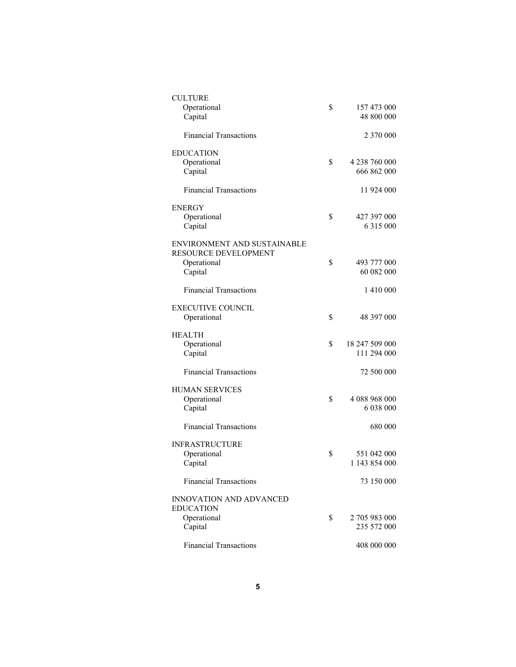| <b>CULTURE</b>                 |                      |
|--------------------------------|----------------------|
| Operational                    | \$<br>157 473 000    |
| Capital                        | 48 800 000           |
|                                |                      |
| <b>Financial Transactions</b>  | 2 370 000            |
|                                |                      |
| <b>EDUCATION</b>               |                      |
| Operational                    | \$<br>4 238 760 000  |
| Capital                        | 666 862 000          |
|                                |                      |
| <b>Financial Transactions</b>  | 11 924 000           |
|                                |                      |
| <b>ENERGY</b>                  |                      |
| Operational                    | \$<br>427 397 000    |
| Capital                        | 6 3 1 5 0 0 0        |
|                                |                      |
| ENVIRONMENT AND SUSTAINABLE    |                      |
| RESOURCE DEVELOPMENT           |                      |
| Operational                    | \$<br>493 777 000    |
| Capital                        | 60 082 000           |
|                                |                      |
| <b>Financial Transactions</b>  | 1 410 000            |
|                                |                      |
| <b>EXECUTIVE COUNCIL</b>       |                      |
| Operational                    | \$<br>48 397 000     |
|                                |                      |
|                                |                      |
|                                |                      |
| <b>HEALTH</b>                  |                      |
| Operational                    | \$<br>18 247 509 000 |
| Capital                        | 111 294 000          |
|                                |                      |
| <b>Financial Transactions</b>  | 72 500 000           |
|                                |                      |
| <b>HUMAN SERVICES</b>          |                      |
| Operational                    | \$<br>4 088 968 000  |
| Capital                        | 6 038 000            |
|                                |                      |
| <b>Financial Transactions</b>  | 680 000              |
|                                |                      |
| <b>INFRASTRUCTURE</b>          |                      |
| Operational                    | \$<br>551 042 000    |
| Capital                        | 1 143 854 000        |
|                                |                      |
| <b>Financial Transactions</b>  | 73 150 000           |
|                                |                      |
| <b>INNOVATION AND ADVANCED</b> |                      |
| <b>EDUCATION</b>               |                      |
| Operational                    | \$<br>2 705 983 000  |
| Capital                        | 235 572 000          |
| <b>Financial Transactions</b>  | 408 000 000          |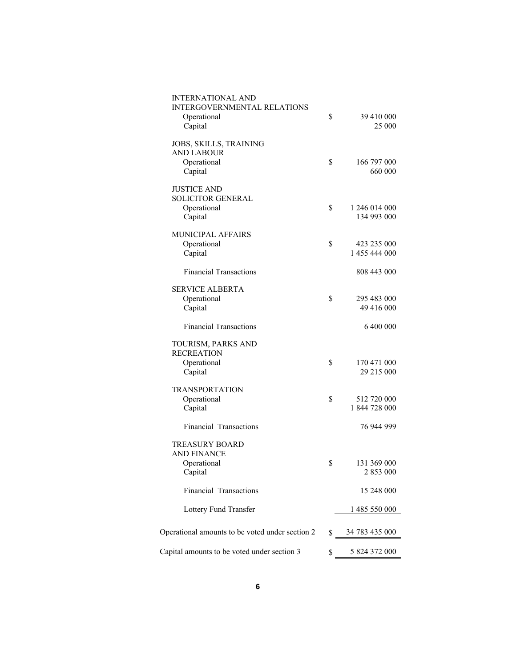| <b>INTERNATIONAL AND</b><br><b>INTERGOVERNMENTAL RELATIONS</b><br>Operational<br>Capital | \$           | 39 410 000<br>25 000         |
|------------------------------------------------------------------------------------------|--------------|------------------------------|
| JOBS, SKILLS, TRAINING<br><b>AND LABOUR</b><br>Operational<br>Capital                    | \$           | 166 797 000<br>660 000       |
| <b>JUSTICE AND</b><br><b>SOLICITOR GENERAL</b><br>Operational<br>Capital                 | \$           | 1 246 014 000<br>134 993 000 |
| MUNICIPAL AFFAIRS<br>Operational<br>Capital                                              | \$           | 423 235 000<br>1 455 444 000 |
| <b>Financial Transactions</b>                                                            |              | 808 443 000                  |
| <b>SERVICE ALBERTA</b><br>Operational<br>Capital                                         | \$           | 295 483 000<br>49 416 000    |
| <b>Financial Transactions</b>                                                            |              | 6 400 000                    |
| TOURISM, PARKS AND<br><b>RECREATION</b><br>Operational<br>Capital                        | \$           | 170 471 000<br>29 215 000    |
| <b>TRANSPORTATION</b><br>Operational<br>Capital                                          | \$           | 512 720 000<br>1 844 728 000 |
| Financial Transactions                                                                   |              | 76 944 999                   |
| <b>TREASURY BOARD</b><br><b>AND FINANCE</b><br>Operational<br>Capital                    | \$           | 131 369 000<br>2 853 000     |
| Financial Transactions                                                                   |              | 15 248 000                   |
| Lottery Fund Transfer                                                                    |              | 1 485 550 000                |
| Operational amounts to be voted under section 2                                          |              | 34 783 435 000               |
|                                                                                          | $\mathbb{S}$ |                              |
| Capital amounts to be voted under section 3                                              | \$           | 5 824 372 000                |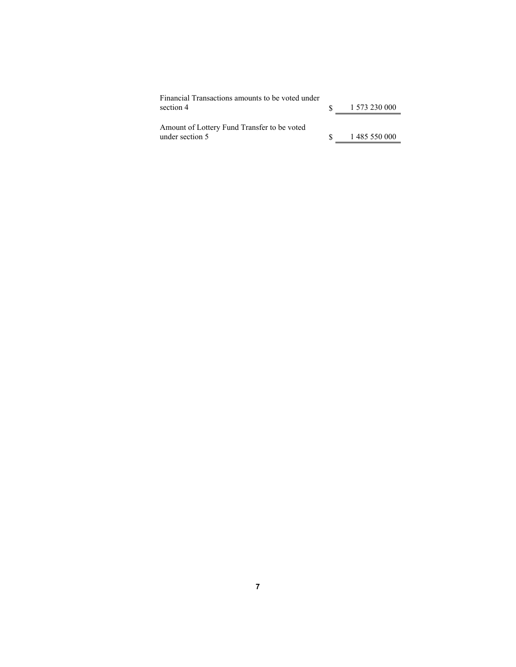| Financial Transactions amounts to be voted under<br>section 4  | 1 573 230 000 |
|----------------------------------------------------------------|---------------|
| Amount of Lottery Fund Transfer to be voted<br>under section 5 | 1 485 550 000 |